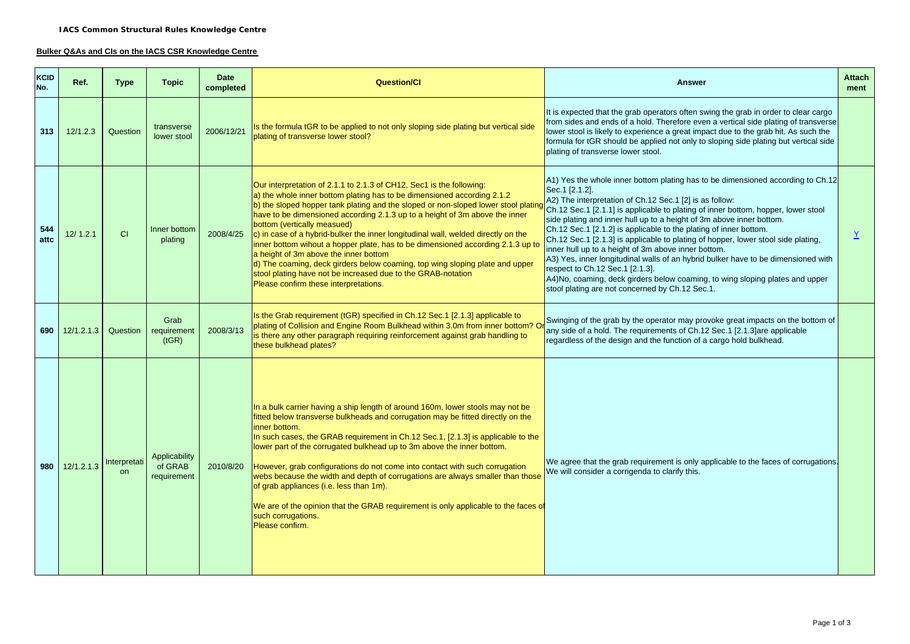## **Bulker Q&As and CIs on the IACS CSR Knowledge Centre**

| <b>KCID</b><br>No. | Ref.       | <b>Type</b>               | <b>Topic</b>                            | <b>Date</b><br>completed | <b>Question/CI</b>                                                                                                                                                                                                                                                                                                                                                                                                                                                                                                                                                                                                                                                                                                                                            | <b>Answer</b>                                                                                                                                                                                                                                                                                                                                                                                                                                                                                                                                                                                                                                                                                                                                                                                         |  |
|--------------------|------------|---------------------------|-----------------------------------------|--------------------------|---------------------------------------------------------------------------------------------------------------------------------------------------------------------------------------------------------------------------------------------------------------------------------------------------------------------------------------------------------------------------------------------------------------------------------------------------------------------------------------------------------------------------------------------------------------------------------------------------------------------------------------------------------------------------------------------------------------------------------------------------------------|-------------------------------------------------------------------------------------------------------------------------------------------------------------------------------------------------------------------------------------------------------------------------------------------------------------------------------------------------------------------------------------------------------------------------------------------------------------------------------------------------------------------------------------------------------------------------------------------------------------------------------------------------------------------------------------------------------------------------------------------------------------------------------------------------------|--|
| 313                | 12/1.2.3   | Question                  | transverse<br>lower stool               | 2006/12/21               | Is the formula tGR to be applied to not only sloping side plating but vertical side<br>plating of transverse lower stool?                                                                                                                                                                                                                                                                                                                                                                                                                                                                                                                                                                                                                                     | It is expected that the grab operators often swing the grab in order to clear cargo<br>from sides and ends of a hold. Therefore even a vertical side plating of transverse<br>lower stool is likely to experience a great impact due to the grab hit. As such the<br>formula for tGR should be applied not only to sloping side plating but vertical side<br>plating of transverse lower stool.                                                                                                                                                                                                                                                                                                                                                                                                       |  |
| 544<br>attc        | 12/1.2.1   | CI                        | Inner bottom<br>plating                 | 2008/4/25                | Our interpretation of 2.1.1 to 2.1.3 of CH12, Sec1 is the following:<br>a) the whole inner bottom plating has to be dimensioned according 2.1.2<br>b) the sloped hopper tank plating and the sloped or non-sloped lower stool plating<br>have to be dimensioned according 2.1.3 up to a height of 3m above the inner<br>bottom (vertically measued)<br>c) in case of a hybrid-bulker the inner longitudinal wall, welded directly on the<br>inner bottom wihout a hopper plate, has to be dimensioned according 2.1.3 up to<br>a height of 3m above the inner bottom<br>d) The coaming, deck girders below coaming, top wing sloping plate and upper<br>stool plating have not be increased due to the GRAB-notation<br>Please confirm these interpretations. | A1) Yes the whole inner bottom plating has to be dimensioned according to Ch.12<br>Sec.1 [2.1.2].<br>A2) The interpretation of Ch.12 Sec.1 [2] is as follow:<br>Ch.12 Sec.1 [2.1.1] is applicable to plating of inner bottom, hopper, lower stool<br>side plating and inner hull up to a height of 3m above inner bottom.<br>Ch.12 Sec.1 [2.1.2] is applicable to the plating of inner bottom.<br>Ch.12 Sec.1 [2.1.3] is applicable to plating of hopper, lower stool side plating,<br>inner hull up to a height of 3m above inner bottom.<br>A3) Yes, inner longitudinal walls of an hybrid bulker have to be dimensioned with<br>respect to Ch.12 Sec.1 [2.1.3].<br>A4)No, coaming, deck girders below coaming, to wing sloping plates and upper<br>stool plating are not concerned by Ch.12 Sec.1. |  |
| 690                | 12/1.2.1.3 | Question                  | Grab<br>requirement<br>(tGR)            | 2008/3/13                | Is the Grab requirement (tGR) specified in Ch.12 Sec.1 [2.1.3] applicable to<br>plating of Collision and Engine Room Bulkhead within 3.0m from inner bottom? O<br>is there any other paragraph requiring reinforcement against grab handling to<br>these bulkhead plates?                                                                                                                                                                                                                                                                                                                                                                                                                                                                                     | Swinging of the grab by the operator may provoke great impacts on the bottom of<br>any side of a hold. The requirements of Ch.12 Sec.1 [2.1.3] are applicable<br>regardless of the design and the function of a cargo hold bulkhead.                                                                                                                                                                                                                                                                                                                                                                                                                                                                                                                                                                  |  |
| 980                | 12/1.2.1.3 | Interpretati<br><b>on</b> | Applicability<br>of GRAB<br>requirement | 2010/8/20                | In a bulk carrier having a ship length of around 160m, lower stools may not be<br>fitted below transverse bulkheads and corrugation may be fitted directly on the<br>inner bottom.<br>In such cases, the GRAB requirement in Ch.12 Sec.1, [2.1.3] is applicable to the<br>lower part of the corrugated bulkhead up to 3m above the inner bottom.<br>However, grab configurations do not come into contact with such corrugation<br>webs because the width and depth of corrugations are always smaller than those<br>of grab appliances (i.e. less than 1m).<br>We are of the opinion that the GRAB requirement is only applicable to the faces of<br>such corrugations.<br>Please confirm.                                                                   | We agree that the grab requirement is only applicable to the faces of corrugations.<br>We will consider a corrigenda to clarify this.                                                                                                                                                                                                                                                                                                                                                                                                                                                                                                                                                                                                                                                                 |  |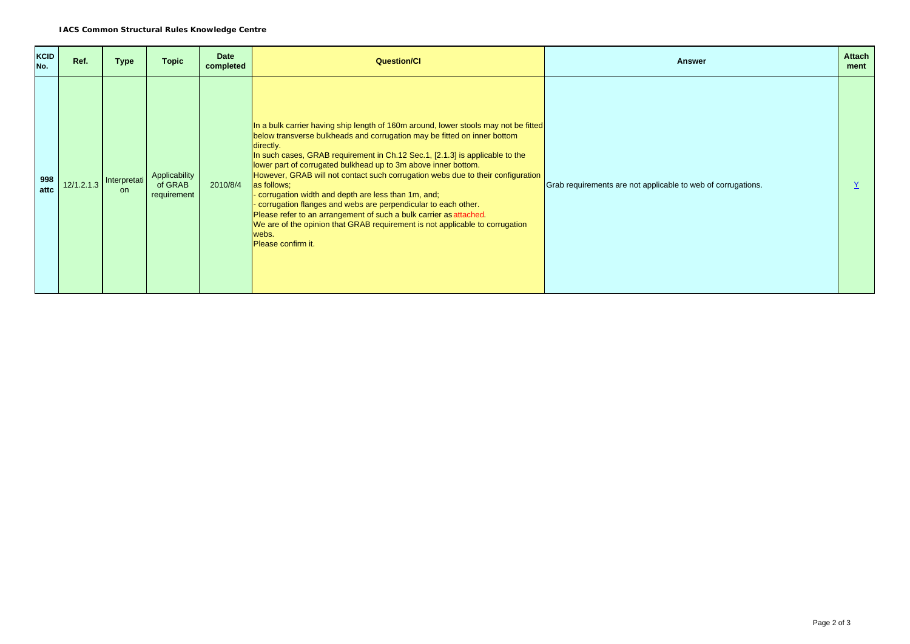| <b>KCID</b><br>No. | Ref. | <b>Type</b>                                                   | <b>Topic</b>                            | <b>Date</b><br>completed | <b>Question/CI</b>                                                                                                                                                                                                                                                                                                                                                                                                                                                                                                                                                                                                                                                                                                                           | <b>Answer</b>                                                | <b>Attach</b><br>ment |
|--------------------|------|---------------------------------------------------------------|-----------------------------------------|--------------------------|----------------------------------------------------------------------------------------------------------------------------------------------------------------------------------------------------------------------------------------------------------------------------------------------------------------------------------------------------------------------------------------------------------------------------------------------------------------------------------------------------------------------------------------------------------------------------------------------------------------------------------------------------------------------------------------------------------------------------------------------|--------------------------------------------------------------|-----------------------|
| 998<br>attc        |      | $\left  \frac{12}{1.2.1.3} \right $ Interpretati<br><b>on</b> | Applicability<br>of GRAB<br>requirement | 2010/8/4                 | In a bulk carrier having ship length of 160m around, lower stools may not be fitted<br>below transverse bulkheads and corrugation may be fitted on inner bottom<br>directly.<br>In such cases, GRAB requirement in Ch.12 Sec.1, [2.1.3] is applicable to the<br>lower part of corrugated bulkhead up to 3m above inner bottom.<br>However, GRAB will not contact such corrugation webs due to their configuration<br>as follows;<br>corrugation width and depth are less than 1m, and;<br>corrugation flanges and webs are perpendicular to each other.<br>Please refer to an arrangement of such a bulk carrier as attached.<br>We are of the opinion that GRAB requirement is not applicable to corrugation<br>webs.<br>Please confirm it. | Grab requirements are not applicable to web of corrugations. |                       |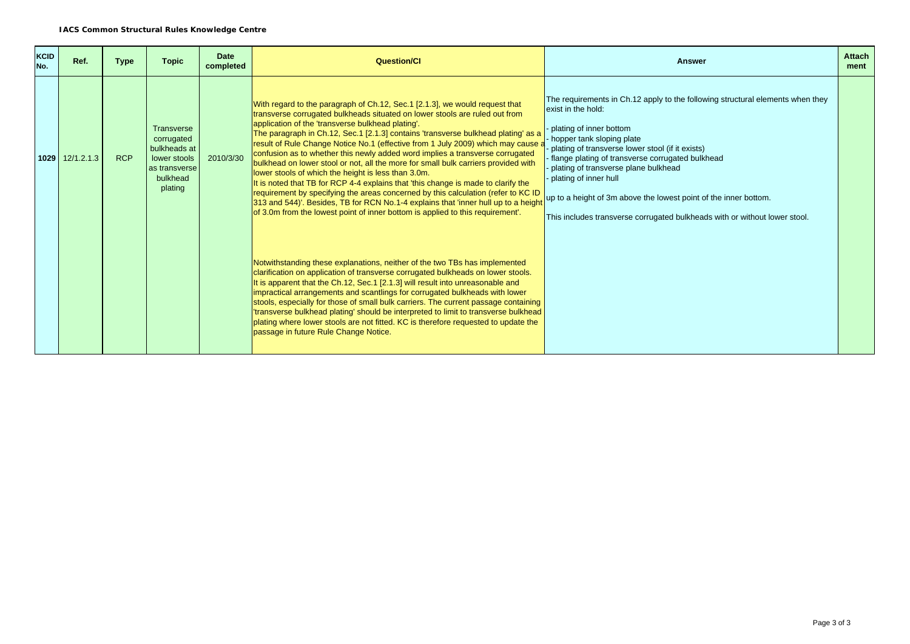| KCID<br>No. | Ref.                | <b>Type</b> | <b>Topic</b>                                                                                            | <b>Date</b><br>completed | <b>Question/CI</b>                                                                                                                                                                                                                                                                                                                                                                                                                                                                                                                                                                                                                                                                                                                                                                                                                                                                                                                                                      | <b>Answer</b>                                                                                                                                                                                                                                                                                                                                                                                                                                                                           |  |
|-------------|---------------------|-------------|---------------------------------------------------------------------------------------------------------|--------------------------|-------------------------------------------------------------------------------------------------------------------------------------------------------------------------------------------------------------------------------------------------------------------------------------------------------------------------------------------------------------------------------------------------------------------------------------------------------------------------------------------------------------------------------------------------------------------------------------------------------------------------------------------------------------------------------------------------------------------------------------------------------------------------------------------------------------------------------------------------------------------------------------------------------------------------------------------------------------------------|-----------------------------------------------------------------------------------------------------------------------------------------------------------------------------------------------------------------------------------------------------------------------------------------------------------------------------------------------------------------------------------------------------------------------------------------------------------------------------------------|--|
|             | $1029$ $12/1.2.1.3$ | <b>RCP</b>  | <b>Transverse</b><br>corrugated<br>bulkheads at<br>lower stools<br>as transverse<br>bulkhead<br>plating | 2010/3/30                | With regard to the paragraph of Ch.12, Sec.1 [2.1.3], we would request that<br>transverse corrugated bulkheads situated on lower stools are ruled out from<br>application of the 'transverse bulkhead plating'.<br>The paragraph in Ch.12, Sec.1 [2.1.3] contains 'transverse bulkhead plating' as a<br>result of Rule Change Notice No.1 (effective from 1 July 2009) which may cause a<br>confusion as to whether this newly added word implies a transverse corrugated<br>bulkhead on lower stool or not, all the more for small bulk carriers provided with<br>lower stools of which the height is less than 3.0m.<br>It is noted that TB for RCP 4-4 explains that 'this change is made to clarify the<br>requirement by specifying the areas concerned by this calculation (refer to KC ID<br>313 and 544)'. Besides, TB for RCN No.1-4 explains that 'inner hull up to a height<br>of 3.0m from the lowest point of inner bottom is applied to this requirement. | The requirements in Ch.12 apply to the following structural elements when they<br>exist in the hold:<br>plating of inner bottom<br>hopper tank sloping plate<br>plating of transverse lower stool (if it exists)<br>flange plating of transverse corrugated bulkhead<br>plating of transverse plane bulkhead<br>plating of inner hull<br>up to a height of 3m above the lowest point of the inner bottom.<br>This includes transverse corrugated bulkheads with or without lower stool. |  |
|             |                     |             |                                                                                                         |                          | Notwithstanding these explanations, neither of the two TBs has implemented<br>clarification on application of transverse corrugated bulkheads on lower stools.<br>It is apparent that the Ch.12, Sec.1 [2.1.3] will result into unreasonable and<br>impractical arrangements and scantlings for corrugated bulkheads with lower<br>stools, especially for those of small bulk carriers. The current passage containing<br>'transverse bulkhead plating' should be interpreted to limit to transverse bulkhead<br>plating where lower stools are not fitted. KC is therefore requested to update the<br>passage in future Rule Change Notice.                                                                                                                                                                                                                                                                                                                            |                                                                                                                                                                                                                                                                                                                                                                                                                                                                                         |  |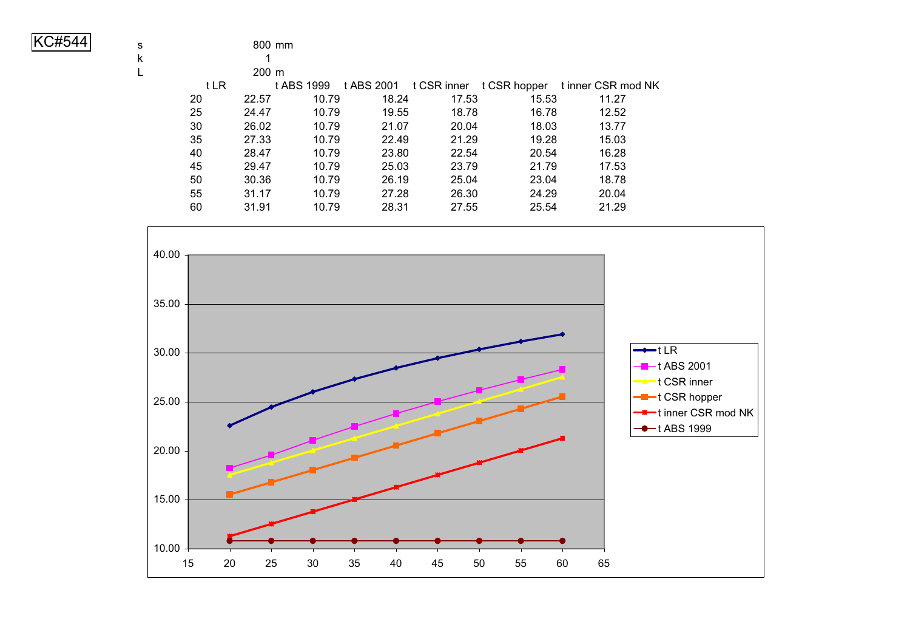| KC#544 |
|--------|
|--------|

| ×<br>N |     |  |
|--------|-----|--|
| ×.     | ___ |  |

|      | 200 m |            |       |       |       |                                                       |
|------|-------|------------|-------|-------|-------|-------------------------------------------------------|
| t LR |       | t ABS 1999 |       |       |       | t ABS 2001 t CSR inner t CSR hopper tinner CSR mod NK |
| 20   | 22.57 | 10.79      | 18.24 | 17.53 | 15.53 | 11.27                                                 |
| 25   | 24.47 | 10.79      | 19.55 | 18.78 | 16.78 | 12.52                                                 |
| 30   | 26.02 | 10.79      | 21.07 | 20.04 | 18.03 | 13.77                                                 |
| 35   | 27.33 | 10.79      | 22.49 | 21.29 | 19.28 | 15.03                                                 |
| 40   | 28.47 | 10.79      | 23.80 | 22.54 | 20.54 | 16.28                                                 |
| 45   | 29.47 | 10.79      | 25.03 | 23.79 | 21.79 | 17.53                                                 |
| 50   | 30.36 | 10.79      | 26.19 | 25.04 | 23.04 | 18.78                                                 |
| 55   | 31.17 | 10.79      | 27.28 | 26.30 | 24.29 | 20.04                                                 |
| 60   | 31.91 | 10.79      | 28.31 | 27.55 | 25.54 | 21.29                                                 |